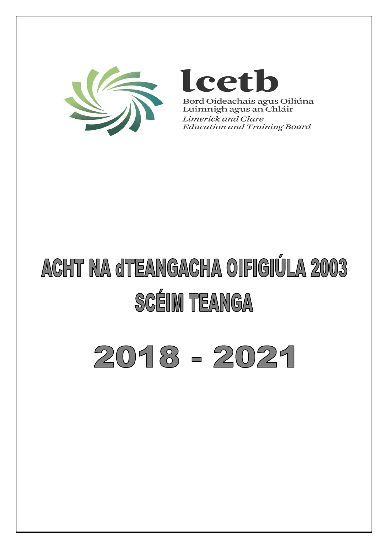



Bord Oideachais agus Oiliúna Luimnigh agus an Chláir Limerick and Clare **Education and Training Board** 

# **ACHT NA dTEANGACHA OIFIGIÚLA 2003 SCÉIM TEANGA**

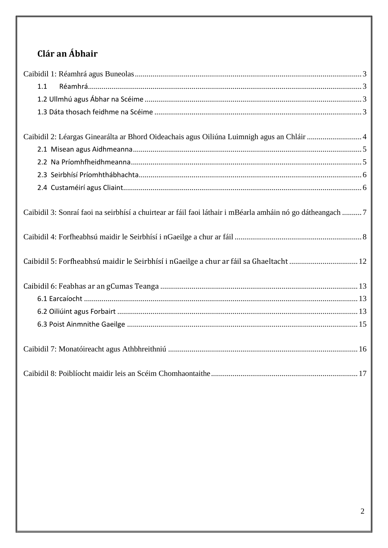# Clár an Ábhair

<span id="page-1-0"></span>

| 1.1                                                                                                        |
|------------------------------------------------------------------------------------------------------------|
|                                                                                                            |
|                                                                                                            |
|                                                                                                            |
| Caibidil 2: Léargas Ginearálta ar Bhord Oideachais agus Oiliúna Luimnigh agus an Chláir 4                  |
|                                                                                                            |
|                                                                                                            |
|                                                                                                            |
|                                                                                                            |
| Caibidil 3: Sonraí faoi na seirbhísí a chuirtear ar fáil faoi láthair i mBéarla amháin nó go dátheangach 7 |
|                                                                                                            |
|                                                                                                            |
| Caibidil 5: Forfheabhsú maidir le Seirbhísí i nGaeilge a chur ar fáil sa Ghaeltacht  12                    |
|                                                                                                            |
|                                                                                                            |
|                                                                                                            |
|                                                                                                            |
|                                                                                                            |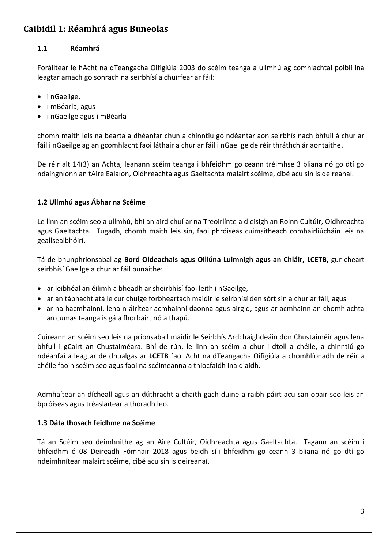## **Caibidil 1: Réamhrá agus Buneolas**

#### <span id="page-2-0"></span>**1.1 Réamhrá**

Foráiltear le hAcht na dTeangacha Oifigiúla 2003 do scéim teanga a ullmhú ag comhlachtaí poiblí ina leagtar amach go sonrach na seirbhísí a chuirfear ar fáil:

- i nGaeilge,
- i mBéarla, agus
- i nGaeilge agus i mBéarla

chomh maith leis na bearta a dhéanfar chun a chinntiú go ndéantar aon seirbhís nach bhfuil á chur ar fáil i nGaeilge ag an gcomhlacht faoi láthair a chur ar fáil i nGaeilge de réir thráthchlár aontaithe.

De réir alt 14(3) an Achta, leanann scéim teanga i bhfeidhm go ceann tréimhse 3 bliana nó go dtí go ndaingníonn an tAire Ealaíon, Oidhreachta agus Gaeltachta malairt scéime, cibé acu sin is deireanaí.

#### <span id="page-2-1"></span>**1.2 Ullmhú agus Ábhar na Scéime**

Le linn an scéim seo a ullmhú, bhí an aird chuí ar na Treoirlínte a d'eisigh an Roinn Cultúir, Oidhreachta agus Gaeltachta. Tugadh, chomh maith leis sin, faoi phróiseas cuimsitheach comhairliúcháin leis na geallsealbhóirí.

Tá de bhunphrionsabal ag **Bord Oideachais agus Oiliúna Luimnigh agus an Chláir, LCETB,** gur cheart seirbhísí Gaeilge a chur ar fáil bunaithe:

- ar leibhéal an éilimh a bheadh ar sheirbhísí faoi leith i nGaeilge,
- ar an tábhacht atá le cur chuige forbheartach maidir le seirbhísí den sórt sin a chur ar fáil, agus
- ar na hacmhainní, lena n-áirítear acmhainní daonna agus airgid, agus ar acmhainn an chomhlachta an cumas teanga is gá a fhorbairt nó a thapú.

Cuireann an scéim seo leis na prionsabail maidir le Seirbhís Ardchaighdeáin don Chustaiméir agus lena bhfuil i gCairt an Chustaiméara. Bhí de rún, le linn an scéim a chur i dtoll a chéile, a chinntiú go ndéanfaí a leagtar de dhualgas ar **LCETB** faoi Acht na dTeangacha Oifigiúla a chomhlíonadh de réir a chéile faoin scéim seo agus faoi na scéimeanna a thiocfaidh ina diaidh.

Admhaítear an dícheall agus an dúthracht a chaith gach duine a raibh páirt acu san obair seo leis an bpróiseas agus tréaslaítear a thoradh leo.

#### <span id="page-2-2"></span>**1.3 Dáta thosach feidhme na Scéime**

Tá an Scéim seo deimhnithe ag an Aire Cultúir, Oidhreachta agus Gaeltachta. Tagann an scéim i bhfeidhm ó 08 Deireadh Fómhair 2018 agus beidh sí i bhfeidhm go ceann 3 bliana nó go dtí go ndeimhnítear malairt scéime, cibé acu sin is deireanaí.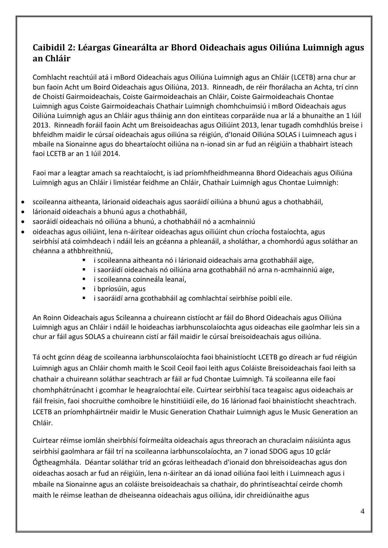### <span id="page-3-0"></span>**Caibidil 2: Léargas Ginearálta ar Bhord Oideachais agus Oiliúna Luimnigh agus an Chláir**

Comhlacht reachtúil atá i mBord Oideachais agus Oiliúna Luimnigh agus an Chláir (LCETB) arna chur ar bun faoin Acht um Boird Oideachais agus Oiliúna, 2013. Rinneadh, de réir fhorálacha an Achta, trí cinn de Choistí Gairmoideachais, Coiste Gairmoideachais an Chláir, Coiste Gairmoideachais Chontae Luimnigh agus Coiste Gairmoideachais Chathair Luimnigh chomhchuimsiú i mBord Oideachais agus Oiliúna Luimnigh agus an Chláir agus tháinig ann don eintiteas corparáide nua ar lá a bhunaithe an 1 Iúil 2013. Rinneadh foráil faoin Acht um Breisoideachas agus Oiliúint 2013, lenar tugadh comhdhlús breise i bhfeidhm maidir le cúrsaí oideachais agus oiliúna sa réigiún, d'Ionaid Oiliúna SOLAS i Luimneach agus i mbaile na Sionainne agus do bheartaíocht oiliúna na n-ionad sin ar fud an réigiúin a thabhairt isteach faoi LCETB ar an 1 Iúil 2014.

Faoi mar a leagtar amach sa reachtaíocht, is iad príomhfheidhmeanna Bhord Oideachais agus Oiliúna Luimnigh agus an Chláir i limistéar feidhme an Chláir, Chathair Luimnigh agus Chontae Luimnigh:

- scoileanna aitheanta, lárionaid oideachais agus saoráidí oiliúna a bhunú agus a chothabháil,
- lárionaid oideachais a bhunú agus a chothabháil,
- saoráidí oideachais nó oiliúna a bhunú, a chothabháil nó a acmhainniú
- oideachas agus oiliúint, lena n-áirítear oideachas agus oiliúint chun críocha fostaíochta, agus seirbhísí atá coimhdeach i ndáil leis an gcéanna a phleanáil, a sholáthar, a chomhordú agus soláthar an chéanna a athbhreithniú,
	- i scoileanna aitheanta nó i lárionaid oideachais arna gcothabháil aige,
	- i saoráidí oideachais nó oiliúna arna gcothabháil nó arna n-acmhainniú aige,
	- i scoileanna coinneála leanaí,
	- $\blacksquare$  i bpríosúin, agus
	- i saoráidí arna gcothabháil ag comhlachtaí seirbhíse poiblí eile.

An Roinn Oideachais agus Scileanna a chuireann cistíocht ar fáil do Bhord Oideachais agus Oiliúna Luimnigh agus an Chláir i ndáil le hoideachas iarbhunscolaíochta agus oideachas eile gaolmhar leis sin a chur ar fáil agus SOLAS a chuireann cistí ar fáil maidir le cúrsaí breisoideachais agus oiliúna.

Tá ocht gcinn déag de scoileanna iarbhunscolaíochta faoi bhainistíocht LCETB go díreach ar fud réigiún Luimnigh agus an Chláir chomh maith le Scoil Ceoil faoi leith agus Coláiste Breisoideachais faoi leith sa chathair a chuireann soláthar seachtrach ar fáil ar fud Chontae Luimnigh. Tá scoileanna eile faoi chomhphátrúnacht i gcomhar le heagraíochtaí eile. Cuirtear seirbhísí taca teagaisc agus oideachais ar fáil freisin, faoi shocruithe comhoibre le hinstitiúidí eile, do 16 lárionad faoi bhainistíocht sheachtrach. LCETB an príomhpháirtnéir maidir le Music Generation Chathair Luimnigh agus le Music Generation an Chláir.

Cuirtear réimse iomlán sheirbhísí foirmeálta oideachais agus threorach an churaclaim náisiúnta agus seirbhísí gaolmhara ar fáil trí na scoileanna iarbhunscolaíochta, an 7 ionad SDOG agus 10 gclár Ógtheagmhála. Déantar soláthar tríd an gcóras leitheadach d'ionaid don bhreisoideachas agus don oideachas aosach ar fud an réigiúin, lena n-áirítear an dá ionad oiliúna faoi leith i Luimneach agus i mbaile na Sionainne agus an coláiste breisoideachais sa chathair, do phrintíseachtaí ceirde chomh maith le réimse leathan de dheiseanna oideachais agus oiliúna, idir chreidiúnaithe agus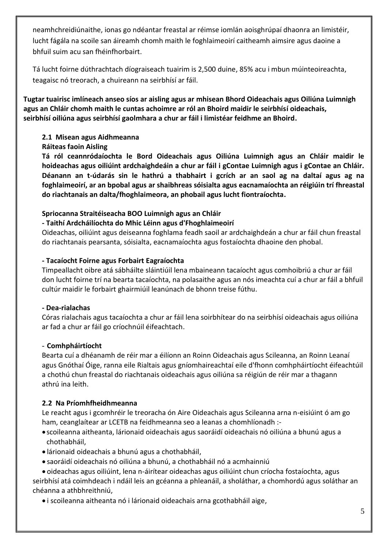neamhchreidiúnaithe, ionas go ndéantar freastal ar réimse iomlán aoisghrúpaí dhaonra an limistéir, lucht fágála na scoile san áireamh chomh maith le foghlaimeoirí caitheamh aimsire agus daoine a bhfuil suim acu san fhéinfhorbairt.

Tá lucht foirne dúthrachtach díograiseach tuairim is 2,500 duine, 85% acu i mbun múinteoireachta, teagaisc nó treorach, a chuireann na seirbhísí ar fáil.

**Tugtar tuairisc imlíneach anseo síos ar aisling agus ar mhisean Bhord Oideachais agus Oiliúna Luimnigh agus an Chláir chomh maith le cuntas achoimre ar ról an Bhoird maidir le seirbhísí oideachais, seirbhísí oiliúna agus seirbhísí gaolmhara a chur ar fáil i limistéar feidhme an Bhoird.**

#### <span id="page-4-0"></span>**2.1 Misean agus Aidhmeanna**

#### **Ráiteas faoin Aisling**

**Tá ról ceannródaíochta le Bord Oideachais agus Oiliúna Luimnigh agus an Chláir maidir le hoideachas agus oiliúint ardchaighdeáin a chur ar fáil i gContae Luimnigh agus i gContae an Chláir. Déanann an t-údarás sin le hathrú a thabhairt i gcrích ar an saol ag na daltaí agus ag na foghlaimeoirí, ar an bpobal agus ar shaibhreas sóisialta agus eacnamaíochta an réigiúin trí fhreastal do riachtanais an dalta/fhoghlaimeora, an phobail agus lucht fiontraíochta.**

#### **Spriocanna Straitéiseacha BOO Luimnigh agus an Chláir**

#### **- Taithí Ardcháilíochta do Mhic Léinn agus d'Fhoghlaimeoirí**

Oideachas, oiliúint agus deiseanna foghlama feadh saoil ar ardchaighdeán a chur ar fáil chun freastal do riachtanais pearsanta, sóisialta, eacnamaíochta agus fostaíochta dhaoine den phobal.

#### **- Tacaíocht Foirne agus Forbairt Eagraíochta**

Timpeallacht oibre atá sábháilte sláintiúil lena mbaineann tacaíocht agus comhoibriú a chur ar fáil don lucht foirne trí na bearta tacaíochta, na polasaithe agus an nós imeachta cuí a chur ar fáil a bhfuil cultúr maidir le forbairt ghairmiúil leanúnach de bhonn treise fúthu.

#### **- Dea-rialachas**

Córas rialachais agus tacaíochta a chur ar fáil lena soirbhítear do na seirbhísí oideachais agus oiliúna ar fad a chur ar fáil go críochnúil éifeachtach.

#### - **Comhpháirtíocht**

Bearta cuí a dhéanamh de réir mar a éilíonn an Roinn Oideachais agus Scileanna, an Roinn Leanaí agus Gnóthaí Óige, ranna eile Rialtais agus gníomhaireachtaí eile d'fhonn comhpháirtíocht éifeachtúil a chothú chun freastal do riachtanais oideachais agus oiliúna sa réigiún de réir mar a thagann athrú ina leith.

#### <span id="page-4-1"></span>**2.2 Na Príomhfheidhmeanna**

Le reacht agus i gcomhréir le treoracha ón Aire Oideachais agus Scileanna arna n-eisiúint ó am go ham, ceanglaítear ar LCETB na feidhmeanna seo a leanas a chomhlíonadh :-

- scoileanna aitheanta, lárionaid oideachais agus saoráidí oideachais nó oiliúna a bhunú agus a chothabháil,
- lárionaid oideachais a bhunú agus a chothabháil,
- saoráidí oideachais nó oiliúna a bhunú, a chothabháil nó a acmhainniú

 oideachas agus oiliúint, lena n-áirítear oideachas agus oiliúint chun críocha fostaíochta, agus seirbhísí atá coimhdeach i ndáil leis an gcéanna a phleanáil, a sholáthar, a chomhordú agus soláthar an chéanna a athbhreithniú,

i scoileanna aitheanta nó i lárionaid oideachais arna gcothabháil aige,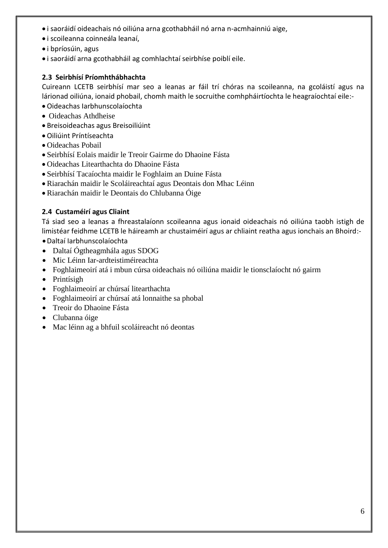- i saoráidí oideachais nó oiliúna arna gcothabháil nó arna n-acmhainniú aige,
- i scoileanna coinneála leanaí,
- i bpríosúin, agus
- i saoráidí arna gcothabháil ag comhlachtaí seirbhíse poiblí eile.

#### <span id="page-5-0"></span>**2.3 Seirbhísí Príomhthábhachta**

Cuireann LCETB seirbhísí mar seo a leanas ar fáil trí chóras na scoileanna, na gcoláistí agus na lárionad oiliúna, ionaid phobail, chomh maith le socruithe comhpháirtíochta le heagraíochtaí eile:-

- Oideachas Iarbhunscolaíochta
- Oideachas Athdheise
- Breisoideachas agus Breisoiliúint
- Oiliúint Príntíseachta
- Oideachas Pobail
- Seirbhísí Eolais maidir le Treoir Gairme do Dhaoine Fásta
- Oideachas Litearthachta do Dhaoine Fásta
- Seirbhísí Tacaíochta maidir le Foghlaim an Duine Fásta
- Riarachán maidir le Scoláireachtaí agus Deontais don Mhac Léinn
- Riarachán maidir le Deontais do Chlubanna Óige

#### <span id="page-5-1"></span>**2.4 Custaméirí agus Cliaint**

Tá siad seo a leanas a fhreastalaíonn scoileanna agus ionaid oideachais nó oiliúna taobh istigh de limistéar feidhme LCETB le háireamh ar chustaiméirí agus ar chliaint reatha agus ionchais an Bhoird:-

- Daltaí Iarbhunscolaíochta
- Daltaí Ógtheagmhála agus SDOG
- Mic Léinn Iar-ardteistiméireachta
- Foghlaimeoirí atá i mbun cúrsa oideachais nó oiliúna maidir le tionsclaíocht nó gairm
- Printísigh
- Foghlaimeoirí ar chúrsaí litearthachta
- Foghlaimeoirí ar chúrsaí atá lonnaithe sa phobal
- Treoir do Dhaoine Fásta
- Clubanna óige
- Mac léinn ag a bhfuil scoláireacht nó deontas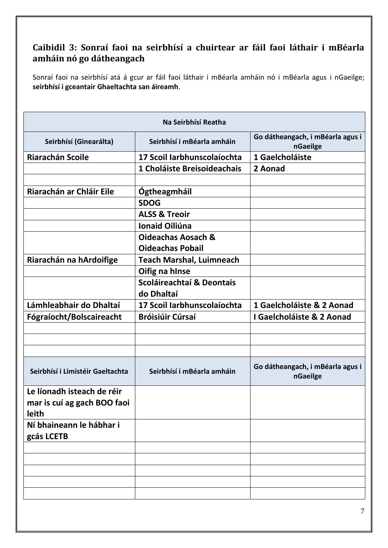## <span id="page-6-0"></span>**Caibidil 3: Sonraí faoi na seirbhísí a chuirtear ar fáil faoi láthair i mBéarla amháin nó go dátheangach**

Sonraí faoi na seirbhísí atá á gcur ar fáil faoi láthair i mBéarla amháin nó i mBéarla agus i nGaeilge; **seirbhísí i gceantair Ghaeltachta san áireamh**.

| Na Seirbhísí Reatha              |                                 |                                              |  |  |
|----------------------------------|---------------------------------|----------------------------------------------|--|--|
| Seirbhísí (Ginearálta)           | Seirbhísí i mBéarla amháin      | Go dátheangach, i mBéarla agus i<br>nGaeilge |  |  |
| <b>Riarachán Scoile</b>          | 17 Scoil Iarbhunscolaíochta     | 1 Gaelcholáiste                              |  |  |
|                                  | 1 Choláiste Breisoideachais     | 2 Aonad                                      |  |  |
|                                  |                                 |                                              |  |  |
| Riarachán ar Chláir Eile         | Ógtheagmháil                    |                                              |  |  |
|                                  | <b>SDOG</b>                     |                                              |  |  |
|                                  | <b>ALSS &amp; Treoir</b>        |                                              |  |  |
|                                  | Ionaid Oiliúna                  |                                              |  |  |
|                                  | <b>Oideachas Aosach &amp;</b>   |                                              |  |  |
|                                  | <b>Oideachas Pobail</b>         |                                              |  |  |
| Riarachán na hArdoifige          | <b>Teach Marshal, Luimneach</b> |                                              |  |  |
|                                  | Oifig na hInse                  |                                              |  |  |
|                                  | Scoláireachtaí & Deontais       |                                              |  |  |
|                                  | do Dhaltaí                      |                                              |  |  |
| Lámhleabhair do Dhaltaí          | 17 Scoil Iarbhunscolaíochta     | 1 Gaelcholáiste & 2 Aonad                    |  |  |
| Fógraíocht/Bolscaireacht         | <b>Bróisiúir Cúrsaí</b>         | I Gaelcholáiste & 2 Aonad                    |  |  |
|                                  |                                 |                                              |  |  |
|                                  |                                 |                                              |  |  |
|                                  |                                 |                                              |  |  |
| Seirbhísí i Limistéir Gaeltachta | Seirbhísí i mBéarla amháin      | Go dátheangach, i mBéarla agus i<br>nGaeilge |  |  |
| Le líonadh isteach de réir       |                                 |                                              |  |  |
| mar is cuí ag gach BOO faoi      |                                 |                                              |  |  |
| leith                            |                                 |                                              |  |  |
| Ní bhaineann le hábhar i         |                                 |                                              |  |  |
| gcás LCETB                       |                                 |                                              |  |  |
|                                  |                                 |                                              |  |  |
|                                  |                                 |                                              |  |  |
|                                  |                                 |                                              |  |  |
|                                  |                                 |                                              |  |  |
|                                  |                                 |                                              |  |  |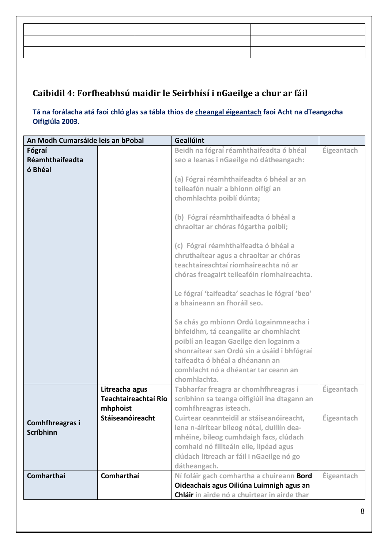## <span id="page-7-0"></span>**Caibidil 4: Forfheabhsú maidir le Seirbhísí i nGaeilge a chur ar fáil**

**Tá na forálacha atá faoi chló glas sa tábla thíos de cheangal éigeantach faoi Acht na dTeangacha Oifigiúla 2003.**

| An Modh Cumarsáide leis an bPobal   |                                                    | <b>Geallúint</b>                                                                                                                                                                                                                                                                                                                                                                                                                                                                                                                                                                                                                                                      |            |
|-------------------------------------|----------------------------------------------------|-----------------------------------------------------------------------------------------------------------------------------------------------------------------------------------------------------------------------------------------------------------------------------------------------------------------------------------------------------------------------------------------------------------------------------------------------------------------------------------------------------------------------------------------------------------------------------------------------------------------------------------------------------------------------|------------|
| Fógraí                              |                                                    | Beidh na fógraí réamhthaifeadta ó bhéal                                                                                                                                                                                                                                                                                                                                                                                                                                                                                                                                                                                                                               | Éigeantach |
| Réamhthaifeadta                     |                                                    | seo a leanas i nGaeilge nó dátheangach:                                                                                                                                                                                                                                                                                                                                                                                                                                                                                                                                                                                                                               |            |
| ó Bhéal                             |                                                    | (a) Fógraí réamhthaifeadta ó bhéal ar an<br>teileafón nuair a bhíonn oifigí an<br>chomhlachta poiblí dúnta;<br>(b) Fógraí réamhthaifeadta ó bhéal a<br>chraoltar ar chóras fógartha poiblí;<br>(c) Fógraí réamhthaifeadta ó bhéal a<br>chruthaítear agus a chraoltar ar chóras<br>teachtaireachtaí ríomhaireachta nó ar<br>chóras freagairt teileafóin ríomhaireachta.<br>Le fógraí 'taifeadta' seachas le fógraí 'beo'<br>a bhaineann an fhoráil seo.<br>Sa chás go mbíonn Ordú Logainmneacha i<br>bhfeidhm, tá ceangailte ar chomhlacht<br>poiblí an leagan Gaeilge den logainm a<br>shonraítear san Ordú sin a úsáid i bhfógraí<br>taifeadta ó bhéal a dhéanann an |            |
|                                     |                                                    | comhlacht nó a dhéantar tar ceann an                                                                                                                                                                                                                                                                                                                                                                                                                                                                                                                                                                                                                                  |            |
|                                     |                                                    | chomhlachta.                                                                                                                                                                                                                                                                                                                                                                                                                                                                                                                                                                                                                                                          |            |
|                                     | Litreacha agus<br>Teachtaireachtaí Río<br>mhphoist | Tabharfar freagra ar chomhfhreagras i<br>scríbhinn sa teanga oifigiúil ina dtagann an<br>comhfhreagras isteach.                                                                                                                                                                                                                                                                                                                                                                                                                                                                                                                                                       | Éigeantach |
| Comhfhreagras i<br><b>Scríbhinn</b> | Stáiseanóireacht                                   | Cuirtear ceannteidil ar stáiseanóireacht,<br>lena n-áirítear bileog nótaí, duillín dea-<br>mhéine, bileog cumhdaigh facs, clúdach<br>comhaid nó fillteáin eile, lipéad agus<br>clúdach litreach ar fáil i nGaeilge nó go<br>dátheangach.                                                                                                                                                                                                                                                                                                                                                                                                                              | Éigeantach |
| Comharthaí                          | Comharthaí                                         | Ní foláir gach comhartha a chuireann Bord<br>Oideachais agus Oiliúna Luimnigh agus an<br>Chláir in airde nó a chuirtear in airde thar                                                                                                                                                                                                                                                                                                                                                                                                                                                                                                                                 | Éigeantach |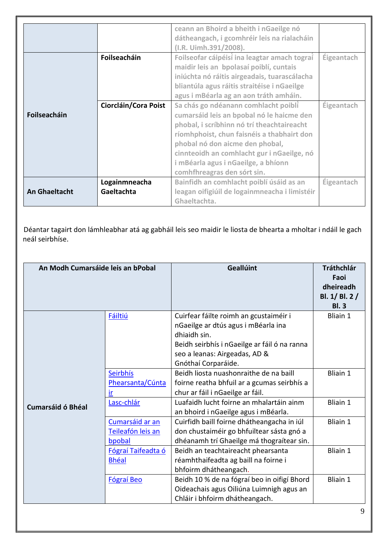|                      |                      | ceann an Bhoird a bheith i nGaeilge nó        |                   |
|----------------------|----------------------|-----------------------------------------------|-------------------|
|                      |                      | dátheangach, i gcomhréir leis na rialacháin   |                   |
|                      |                      | (I.R. Uimh.391/2008).                         |                   |
|                      | Foilseacháin         | Foilseofar cáipéisí ina leagtar amach tograí  | <b>Éigeantach</b> |
|                      |                      | maidir leis an bpolasaí poiblí, cuntais       |                   |
|                      |                      | iniúchta nó ráitis airgeadais, tuarascálacha  |                   |
|                      |                      | bliantúla agus ráitis straitéise i nGaeilge   |                   |
|                      |                      | agus i mBéarla ag an aon tráth amháin.        |                   |
|                      | Ciorcláin/Cora Poist | Sa chás go ndéanann comhlacht poiblí          | Éigeantach        |
| Foilseacháin         |                      | cumarsáid leis an bpobal nó le haicme den     |                   |
|                      |                      | phobal, i scríbhinn nó trí theachtaireacht    |                   |
|                      |                      | ríomhphoist, chun faisnéis a thabhairt don    |                   |
|                      |                      | phobal nó don aicme den phobal,               |                   |
|                      |                      | cinnteoidh an comhlacht gur i nGaeilge, nó    |                   |
|                      |                      | i mBéarla agus i nGaeilge, a bhíonn           |                   |
|                      |                      | comhfhreagras den sórt sin.                   |                   |
|                      | Logainmneacha        | Bainfidh an comhlacht poiblí úsáid as an      | Éigeantach        |
| <b>An Ghaeltacht</b> | Gaeltachta           | leagan oifigiúil de logainmneacha i limistéir |                   |
|                      |                      | Ghaeltachta.                                  |                   |

Déantar tagairt don lámhleabhar atá ag gabháil leis seo maidir le liosta de bhearta a mholtar i ndáil le gach neál seirbhíse.

| An Modh Cumarsáide leis an bPobal |                                                | Geallúint                                                                                                                                                                                             | <b>Tráthchlár</b><br>Faoi<br>dheireadh<br>Bl. 1/ Bl. 2 /<br><b>Bl. 3</b> |
|-----------------------------------|------------------------------------------------|-------------------------------------------------------------------------------------------------------------------------------------------------------------------------------------------------------|--------------------------------------------------------------------------|
|                                   | <b>Fáiltiú</b>                                 | Cuirfear fáilte roimh an gcustaiméir i<br>nGaeilge ar dtús agus i mBéarla ina<br>dhiaidh sin.<br>Beidh seirbhís i nGaeilge ar fáil ó na ranna<br>seo a leanas: Airgeadas, AD &<br>Gnóthaí Corparáide. | Bliain 1                                                                 |
|                                   | Seirbhís<br>Phearsanta/Cúnta<br>ir             | Beidh liosta nuashonraithe de na baill<br>foirne reatha bhfuil ar a gcumas seirbhís a<br>chur ar fáil i nGaeilge ar fáil.                                                                             | Bliain 1                                                                 |
| <b>Cumarsáid ó Bhéal</b>          | Lasc-chlár                                     | Luafaidh lucht foirne an mhalartáin ainm<br>an bhoird i nGaeilge agus i mBéarla.                                                                                                                      | <b>Bliain 1</b>                                                          |
|                                   | Cumarsáid ar an<br>Teileafón leis an<br>bpobal | Cuirfidh baill foirne dhátheangacha in iúl<br>don chustaiméir go bhfuiltear sásta gnó a<br>dhéanamh trí Ghaeilge má thograítear sin.                                                                  | <b>Bliain 1</b>                                                          |
|                                   | Fógraí Taifeadta ó<br><b>Bhéal</b>             | Beidh an teachtaireacht phearsanta<br>réamhthaifeadta ag baill na foirne i<br>bhfoirm dhátheangach.                                                                                                   | <b>Bliain 1</b>                                                          |
|                                   | Fógraí Beo                                     | Beidh 10 % de na fógraí beo in oifigí Bhord<br>Oideachais agus Oiliúna Luimnigh agus an<br>Chláir i bhfoirm dhátheangach.                                                                             | <b>Bliain 1</b>                                                          |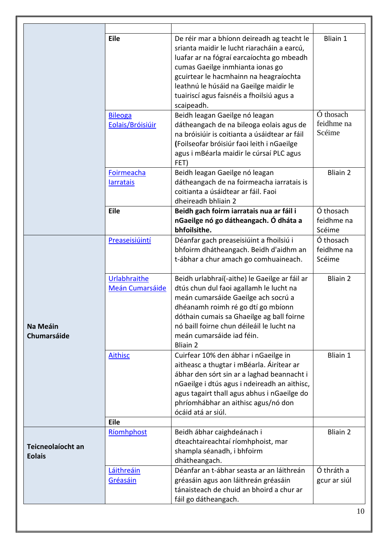|                                    | Eile                            | De réir mar a bhíonn deireadh ag teacht le<br>srianta maidir le lucht riaracháin a earcú,<br>luafar ar na fógraí earcaíochta go mbeadh<br>cumas Gaeilge inmhianta ionas go<br>gcuirtear le hacmhainn na heagraíochta<br>leathnú le húsáid na Gaeilge maidir le<br>tuairiscí agus faisnéis a fhoilsiú agus a<br>scaipeadh. | <b>Bliain 1</b>                   |
|------------------------------------|---------------------------------|---------------------------------------------------------------------------------------------------------------------------------------------------------------------------------------------------------------------------------------------------------------------------------------------------------------------------|-----------------------------------|
| <b>Bileoga</b><br>Eolais/Bróisiúir |                                 | Beidh leagan Gaeilge nó leagan<br>dátheangach de na bileoga eolais agus de<br>na bróisiúir is coitianta a úsáidtear ar fáil<br>(Foilseofar bróisiúr faoi leith i nGaeilge<br>agus i mBéarla maidir le cúrsaí PLC agus<br>FET)                                                                                             | Ó thosach<br>feidhme na<br>Scéime |
|                                    | Foirmeacha<br><b>larratais</b>  | Beidh leagan Gaeilge nó leagan<br>dátheangach de na foirmeacha iarratais is<br>coitianta a úsáidtear ar fáil. Faoi<br>dheireadh bhliain 2                                                                                                                                                                                 | <b>Bliain 2</b>                   |
|                                    | Eile                            | Beidh gach foirm iarratais nua ar fáil i<br>nGaeilge nó go dátheangach. Ó dháta a<br>bhfoilsithe.                                                                                                                                                                                                                         | Ó thosach<br>feidhme na<br>Scéime |
|                                    | Preaseisiúintí                  | Déanfar gach preaseisiúint a fhoilsiú i<br>bhfoirm dhátheangach. Beidh d'aidhm an<br>t-ábhar a chur amach go comhuaineach.                                                                                                                                                                                                | Ó thosach<br>feidhme na<br>Scéime |
| Na Meáin<br><b>Chumarsáide</b>     | Urlabhraithe<br>Meán Cumarsáide | Beidh urlabhraí(-aithe) le Gaeilge ar fáil ar<br>dtús chun dul faoi agallamh le lucht na<br>meán cumarsáide Gaeilge ach socrú a<br>dhéanamh roimh ré go dtí go mbíonn<br>dóthain cumais sa Ghaeilge ag ball foirne<br>nó baill foirne chun déileáil le lucht na<br>meán cumarsáide iad féin.<br><b>Bliain 2</b>           | <b>Bliain 2</b>                   |
|                                    | <b>Aithisc</b>                  | Cuirfear 10% den ábhar i nGaeilge in<br>aitheasc a thugtar i mBéarla. Áirítear ar<br>ábhar den sórt sin ar a laghad beannacht i<br>nGaeilge i dtús agus i ndeireadh an aithisc,<br>agus tagairt thall agus abhus i nGaeilge do<br>phríomhábhar an aithisc agus/nó don<br>ócáid atá ar siúl.                               | Bliain 1                          |
|                                    | Eile                            |                                                                                                                                                                                                                                                                                                                           |                                   |
| Teicneolaíocht an<br><b>Eolais</b> | Ríomhphost                      | Beidh ábhar caighdeánach i<br>dteachtaireachtaí ríomhphoist, mar<br>shampla séanadh, i bhfoirm<br>dhátheangach.                                                                                                                                                                                                           | <b>Bliain 2</b>                   |
|                                    | Láithreáin<br>Gréasáin          | Déanfar an t-ábhar seasta ar an láithreán<br>gréasáin agus aon láithreán gréasáin<br>tánaisteach de chuid an bhoird a chur ar<br>fáil go dátheangach.                                                                                                                                                                     | Ó thráth a<br>gcur ar siúl        |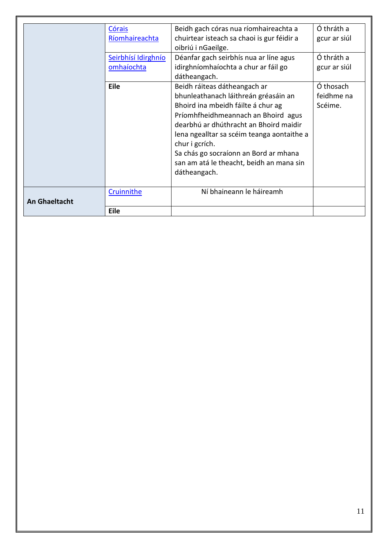|                      | Córais              | Beidh gach córas nua ríomhaireachta a      | Ó thráth a   |
|----------------------|---------------------|--------------------------------------------|--------------|
|                      | Ríomhaireachta      | chuirtear isteach sa chaoi is gur féidir a | gcur ar siúl |
|                      |                     | oibriú i nGaeilge.                         |              |
|                      | Seirbhísí Idirghnío | Déanfar gach seirbhís nua ar líne agus     | Ó thráth a   |
|                      | omhaíochta          | idirghníomhaíochta a chur ar fáil go       | gcur ar siúl |
|                      |                     | dátheangach.                               |              |
|                      | Eile                | Beidh ráiteas dátheangach ar               | Ó thosach    |
|                      |                     | bhunleathanach láithreán gréasáin an       | feidhme na   |
|                      |                     | Bhoird ina mbeidh fáilte á chur ag         | Scéime.      |
|                      |                     | Príomhfheidhmeannach an Bhoird agus        |              |
|                      |                     | dearbhú ar dhúthracht an Bhoird maidir     |              |
|                      |                     | lena ngealltar sa scéim teanga aontaithe a |              |
|                      |                     | chur i gcrích.                             |              |
|                      |                     | Sa chás go socraíonn an Bord ar mhana      |              |
|                      |                     | san am atá le theacht, beidh an mana sin   |              |
|                      |                     | dátheangach.                               |              |
|                      |                     |                                            |              |
|                      | Cruinnithe          | Ní bhaineann le háireamh                   |              |
| <b>An Ghaeltacht</b> |                     |                                            |              |
|                      | <b>Eile</b>         |                                            |              |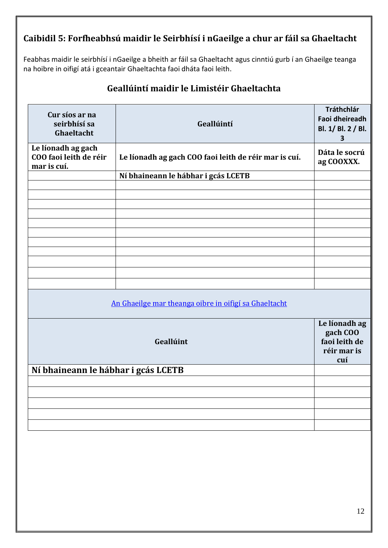## <span id="page-11-0"></span>**Caibidil 5: Forfheabhsú maidir le Seirbhísí i nGaeilge a chur ar fáil sa Ghaeltacht**

Feabhas maidir le seirbhísí i nGaeilge a bheith ar fáil sa Ghaeltacht agus cinntiú gurb í an Ghaeilge teanga na hoibre in oifigí atá i gceantair Ghaeltachta faoi dháta faoi leith.

| Cur síos ar na<br>seirbhísí sa<br>Ghaeltacht                | Geallúintí                                            | Tráthchlár<br><b>Faoi dheireadh</b><br>Bl. 1/ Bl. 2 / Bl.<br>$\overline{\mathbf{3}}$ |
|-------------------------------------------------------------|-------------------------------------------------------|--------------------------------------------------------------------------------------|
| Le líonadh ag gach<br>COO faoi leith de réir<br>mar is cuí. | Le líonadh ag gach COO faoi leith de réir mar is cuí. | Dáta le socrú<br>ag COOXXX.                                                          |
|                                                             | Ní bhaineann le hábhar i gcás LCETB                   |                                                                                      |
|                                                             |                                                       |                                                                                      |
|                                                             |                                                       |                                                                                      |
|                                                             |                                                       |                                                                                      |
|                                                             |                                                       |                                                                                      |
|                                                             |                                                       |                                                                                      |
|                                                             |                                                       |                                                                                      |
|                                                             |                                                       |                                                                                      |
|                                                             |                                                       |                                                                                      |
|                                                             |                                                       |                                                                                      |
|                                                             |                                                       |                                                                                      |
|                                                             |                                                       |                                                                                      |
|                                                             | An Ghaeilge mar theanga oibre in oifigí sa Ghaeltacht |                                                                                      |
|                                                             | Geallúint                                             | Le líonadh ag<br>gach COO<br>faoi leith de<br>réir mar is<br>cuí                     |
| Ní bhaineann le hábhar i gcás LCETB                         |                                                       |                                                                                      |
|                                                             |                                                       |                                                                                      |
|                                                             |                                                       |                                                                                      |
|                                                             |                                                       |                                                                                      |
|                                                             |                                                       |                                                                                      |
|                                                             |                                                       |                                                                                      |
|                                                             |                                                       |                                                                                      |

## **Geallúintí maidir le Limistéir Ghaeltachta**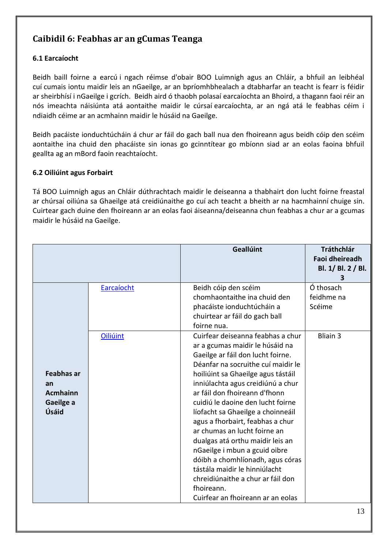## <span id="page-12-0"></span>**Caibidil 6: Feabhas ar an gCumas Teanga**

#### <span id="page-12-1"></span>**6.1 Earcaíocht**

Beidh baill foirne a earcú i ngach réimse d'obair BOO Luimnigh agus an Chláir, a bhfuil an leibhéal cuí cumais iontu maidir leis an nGaeilge, ar an bpríomhbhealach a dtabharfar an teacht is fearr is féidir ar sheirbhísí i nGaeilge i gcrích. Beidh aird ó thaobh polasaí earcaíochta an Bhoird, a thagann faoi réir an nós imeachta náisiúnta atá aontaithe maidir le cúrsaí earcaíochta, ar an ngá atá le feabhas céim i ndiaidh céime ar an acmhainn maidir le húsáid na Gaeilge.

Beidh pacáiste ionduchtúcháin á chur ar fáil do gach ball nua den fhoireann agus beidh cóip den scéim aontaithe ina chuid den phacáiste sin ionas go gcinntítear go mbíonn siad ar an eolas faoina bhfuil geallta ag an mBord faoin reachtaíocht.

#### <span id="page-12-2"></span>**6.2 Oiliúint agus Forbairt**

Tá BOO Luimnigh agus an Chláir dúthrachtach maidir le deiseanna a thabhairt don lucht foirne freastal ar chúrsaí oiliúna sa Ghaeilge atá creidiúnaithe go cuí ach teacht a bheith ar na hacmhainní chuige sin. Cuirtear gach duine den fhoireann ar an eolas faoi áiseanna/deiseanna chun feabhas a chur ar a gcumas maidir le húsáid na Gaeilge.

|                                                                  |            | Geallúint                                                                                                                                                                                                                                                                                                                                                                                                                                                                                                                                                                                                                                   | <b>Tráthchlár</b><br><b>Faoi dheireadh</b><br>Bl. 1/ Bl. 2 / Bl.<br>3 |
|------------------------------------------------------------------|------------|---------------------------------------------------------------------------------------------------------------------------------------------------------------------------------------------------------------------------------------------------------------------------------------------------------------------------------------------------------------------------------------------------------------------------------------------------------------------------------------------------------------------------------------------------------------------------------------------------------------------------------------------|-----------------------------------------------------------------------|
|                                                                  | Earcaíocht | Beidh cóip den scéim<br>chomhaontaithe ina chuid den<br>phacáiste ionduchtúcháin a<br>chuirtear ar fáil do gach ball<br>foirne nua.                                                                                                                                                                                                                                                                                                                                                                                                                                                                                                         | Ó thosach<br>feidhme na<br>Scéime                                     |
| <b>Feabhas ar</b><br>an<br><b>Acmhainn</b><br>Gaeilge a<br>Úsáid | Oiliúint   | Cuirfear deiseanna feabhas a chur<br>ar a gcumas maidir le húsáid na<br>Gaeilge ar fáil don lucht foirne.<br>Déanfar na socruithe cuí maidir le<br>hoiliúint sa Ghaeilge agus tástáil<br>inniúlachta agus creidiúnú a chur<br>ar fáil don fhoireann d'fhonn<br>cuidiú le daoine den lucht foirne<br>líofacht sa Ghaeilge a choinneáil<br>agus a fhorbairt, feabhas a chur<br>ar chumas an lucht foirne an<br>dualgas atá orthu maidir leis an<br>nGaeilge i mbun a gcuid oibre<br>dóibh a chomhlíonadh, agus córas<br>tástála maidir le hinniúlacht<br>chreidiúnaithe a chur ar fáil don<br>fhoireann.<br>Cuirfear an fhoireann ar an eolas | <b>Bliain 3</b>                                                       |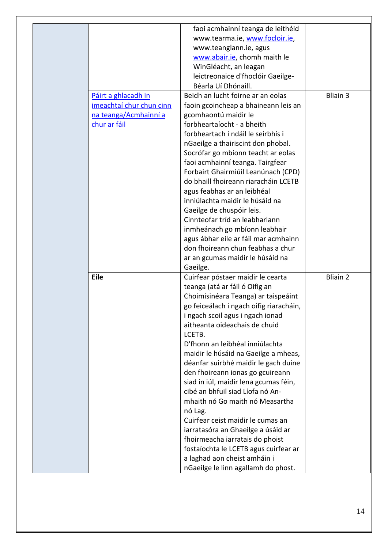|                          | faoi acmhainní teanga de leithéid       |                 |
|--------------------------|-----------------------------------------|-----------------|
|                          | www.tearma.ie, www.focloir.ie,          |                 |
|                          | www.teanglann.ie, agus                  |                 |
|                          | www.abair.ie, chomh maith le            |                 |
|                          | WinGléacht, an leagan                   |                 |
|                          | leictreonaice d'fhoclóir Gaeilge-       |                 |
|                          | Béarla Uí Dhónaill.                     |                 |
| Páirt a ghlacadh in      | Beidh an lucht foirne ar an eolas       | <b>Bliain 3</b> |
| imeachtaí chur chun cinn | faoin gcoincheap a bhaineann leis an    |                 |
| na teanga/Acmhainní a    | gcomhaontú maidir le                    |                 |
| chur ar fáil             | forbheartaíocht - a bheith              |                 |
|                          | forbheartach i ndáil le seirbhís i      |                 |
|                          | nGaeilge a thairiscint don phobal.      |                 |
|                          | Socrófar go mbíonn teacht ar eolas      |                 |
|                          | faoi acmhainní teanga. Tairgfear        |                 |
|                          | Forbairt Ghairmiúil Leanúnach (CPD)     |                 |
|                          | do bhaill fhoireann riaracháin LCETB    |                 |
|                          | agus feabhas ar an leibhéal             |                 |
|                          | inniúlachta maidir le húsáid na         |                 |
|                          | Gaeilge de chuspóir leis.               |                 |
|                          | Cinnteofar tríd an leabharlann          |                 |
|                          | inmheánach go mbíonn leabhair           |                 |
|                          | agus ábhar eile ar fáil mar acmhainn    |                 |
|                          | don fhoireann chun feabhas a chur       |                 |
|                          | ar an gcumas maidir le húsáid na        |                 |
|                          | Gaeilge.                                |                 |
| <b>Eile</b>              | Cuirfear póstaer maidir le cearta       | <b>Bliain 2</b> |
|                          | teanga (atá ar fáil ó Oifig an          |                 |
|                          | Choimisinéara Teanga) ar taispeáint     |                 |
|                          | go feiceálach i ngach oifig riaracháin, |                 |
|                          | i ngach scoil agus i ngach ionad        |                 |
|                          | aitheanta oideachais de chuid           |                 |
|                          | LCETB.                                  |                 |
|                          | D'fhonn an leibhéal inniúlachta         |                 |
|                          | maidir le húsáid na Gaeilge a mheas,    |                 |
|                          | déanfar suirbhé maidir le gach duine    |                 |
|                          | den fhoireann ionas go gcuireann        |                 |
|                          | siad in iúl, maidir lena gcumas féin,   |                 |
|                          | cibé an bhfuil siad Líofa nó An-        |                 |
|                          | mhaith nó Go maith nó Measartha         |                 |
|                          | nó Lag.                                 |                 |
|                          | Cuirfear ceist maidir le cumas an       |                 |
|                          | iarratasóra an Ghaeilge a úsáid ar      |                 |
|                          | fhoirmeacha iarratais do phoist         |                 |
|                          | fostaíochta le LCETB agus cuirfear ar   |                 |
|                          | a laghad aon cheist amháin i            |                 |
|                          |                                         |                 |
|                          | nGaeilge le linn agallamh do phost.     |                 |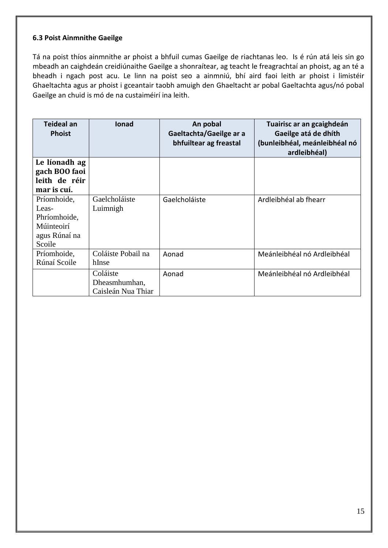#### <span id="page-14-0"></span>**6.3 Poist Ainmnithe Gaeilge**

Tá na poist thíos ainmnithe ar phoist a bhfuil cumas Gaeilge de riachtanas leo. Is é rún atá leis sin go mbeadh an caighdeán creidiúnaithe Gaeilge a shonraítear, ag teacht le freagrachtaí an phoist, ag an té a bheadh i ngach post acu. Le linn na poist seo a ainmniú, bhí aird faoi leith ar phoist i limistéir Ghaeltachta agus ar phoist i gceantair taobh amuigh den Ghaeltacht ar pobal Gaeltachta agus/nó pobal Gaeilge an chuid is mó de na custaiméirí ina leith.

| Teideal an<br><b>Phoist</b>                                                   | <b>lonad</b>                                    | An pobal<br>Gaeltachta/Gaeilge ar a<br>bhfuiltear ag freastal | Tuairisc ar an gcaighdeán<br>Gaeilge atá de dhíth<br>(bunleibhéal, meánleibhéal nó<br>ardleibhéal) |
|-------------------------------------------------------------------------------|-------------------------------------------------|---------------------------------------------------------------|----------------------------------------------------------------------------------------------------|
| Le líonadh ag<br>gach BOO faoi<br>leith de réir<br>mar is cuí.                |                                                 |                                                               |                                                                                                    |
| Príomhoide,<br>Leas-<br>Phríomhoide,<br>Múinteoirí<br>agus Rúnaí na<br>Scoile | Gaelcholáiste<br>Luimnigh                       | Gaelcholáiste                                                 | Ardleibhéal ab fhearr                                                                              |
| Príomhoide,<br>Rúnaí Scoile                                                   | Coláiste Pobail na<br>hInse                     | Aonad                                                         | Meánleibhéal nó Ardleibhéal                                                                        |
|                                                                               | Coláiste<br>Dheasmhumhan,<br>Caisleán Nua Thiar | Aonad                                                         | Meánleibhéal nó Ardleibhéal                                                                        |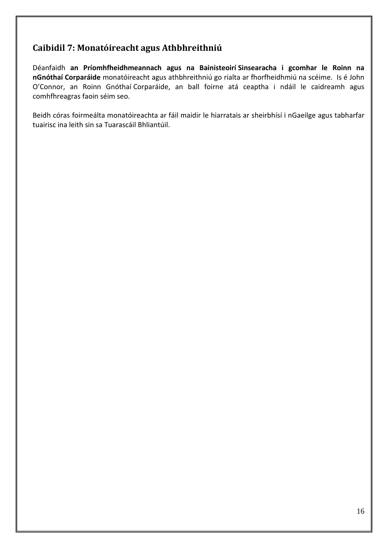## <span id="page-15-0"></span>**Caibidil 7: Monatóireacht agus Athbhreithniú**

Déanfaidh **an Príomhfheidhmeannach agus na Bainisteoirí Sinsearacha i gcomhar le Roinn na nGnóthaí Corparáide** monatóireacht agus athbhreithniú go rialta ar fhorfheidhmiú na scéime. Is é John O'Connor, an Roinn Gnóthaí Corparáide, an ball foirne atá ceaptha i ndáil le caidreamh agus comhfhreagras faoin séim seo.

Beidh córas foirmeálta monatóireachta ar fáil maidir le hiarratais ar sheirbhísí i nGaeilge agus tabharfar tuairisc ina leith sin sa Tuarascáil Bhliantúil.